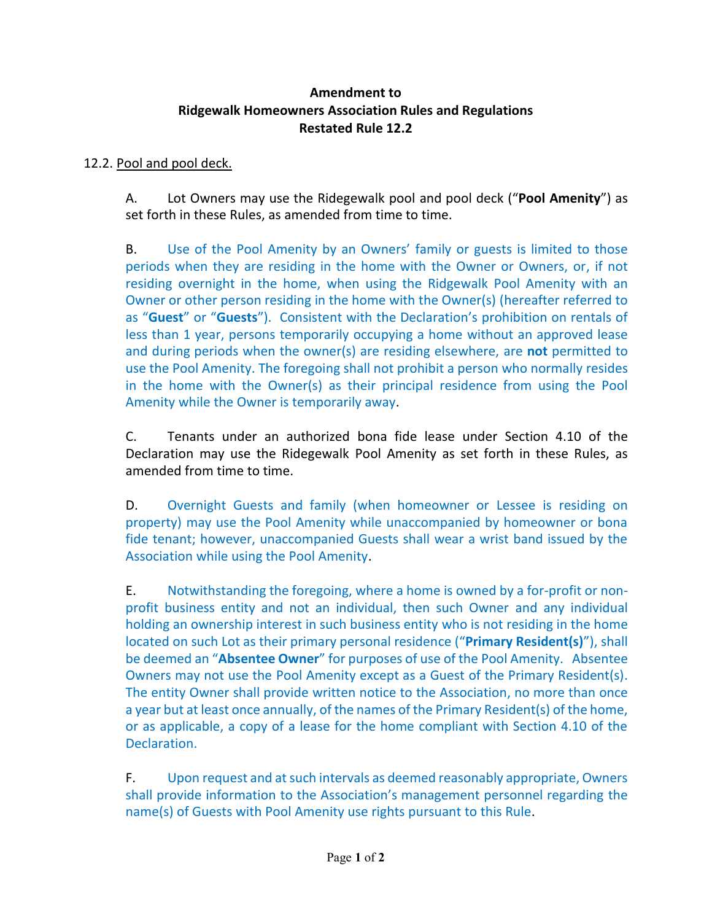## **Amendment to Ridgewalk Homeowners Association Rules and Regulations Restated Rule 12.2**

## 12.2. Pool and pool deck.

A. Lot Owners may use the Ridegewalk pool and pool deck ("**Pool Amenity**") as set forth in these Rules, as amended from time to time.

B. Use of the Pool Amenity by an Owners' family or guests is limited to those periods when they are residing in the home with the Owner or Owners, or, if not residing overnight in the home, when using the Ridgewalk Pool Amenity with an Owner or other person residing in the home with the Owner(s) (hereafter referred to as "**Guest**" or "**Guests**"). Consistent with the Declaration's prohibition on rentals of less than 1 year, persons temporarily occupying a home without an approved lease and during periods when the owner(s) are residing elsewhere, are **not** permitted to use the Pool Amenity. The foregoing shall not prohibit a person who normally resides in the home with the Owner(s) as their principal residence from using the Pool Amenity while the Owner is temporarily away.

C. Tenants under an authorized bona fide lease under Section 4.10 of the Declaration may use the Ridegewalk Pool Amenity as set forth in these Rules, as amended from time to time.

D. Overnight Guests and family (when homeowner or Lessee is residing on property) may use the Pool Amenity while unaccompanied by homeowner or bona fide tenant; however, unaccompanied Guests shall wear a wrist band issued by the Association while using the Pool Amenity.

E. Notwithstanding the foregoing, where a home is owned by a for-profit or nonprofit business entity and not an individual, then such Owner and any individual holding an ownership interest in such business entity who is not residing in the home located on such Lot as their primary personal residence ("**Primary Resident(s)**"), shall be deemed an "**Absentee Owner**" for purposes of use of the Pool Amenity. Absentee Owners may not use the Pool Amenity except as a Guest of the Primary Resident(s). The entity Owner shall provide written notice to the Association, no more than once a year but at least once annually, of the names of the Primary Resident(s) of the home, or as applicable, a copy of a lease for the home compliant with Section 4.10 of the Declaration.

F. Upon request and at such intervals as deemed reasonably appropriate, Owners shall provide information to the Association's management personnel regarding the name(s) of Guests with Pool Amenity use rights pursuant to this Rule.